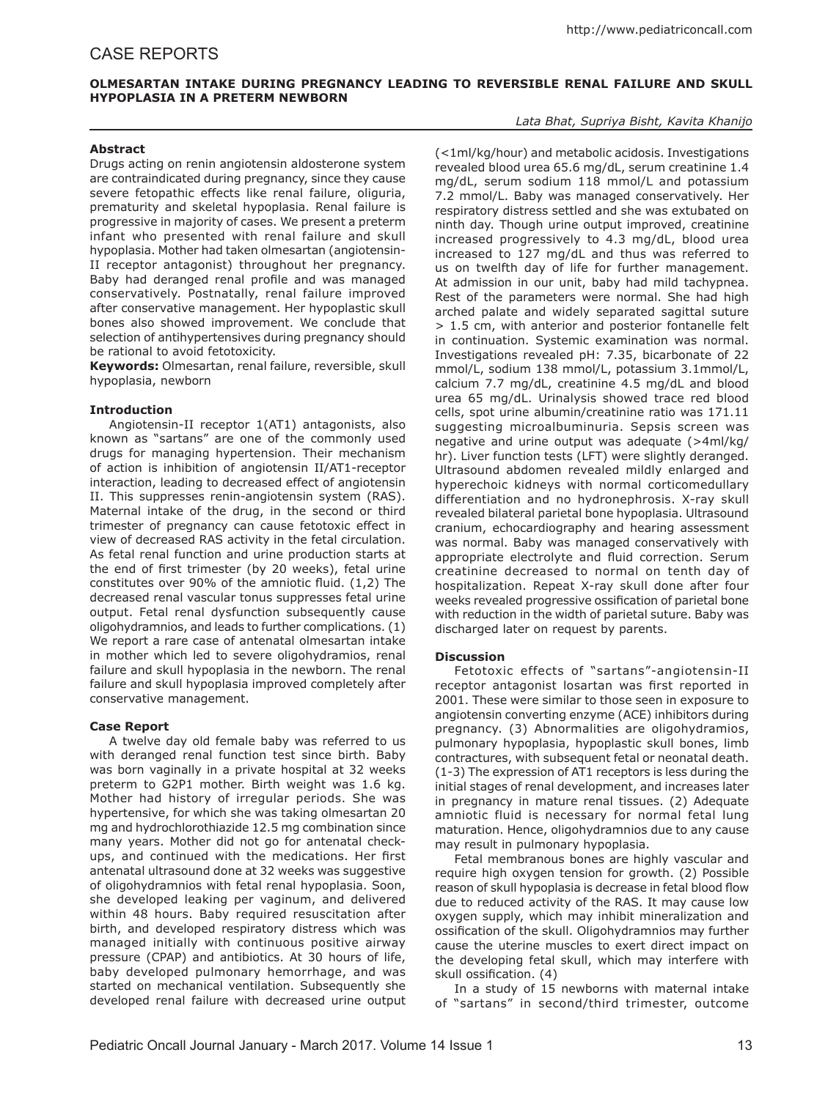# **OLMESARTAN INTAKE DURING PREGNANCY LEADING TO REVERSIBLE RENAL FAILURE AND SKULL HYPOPLASIA IN A PRETERM NEWBORN**

### *Lata Bhat, Supriya Bisht, Kavita Khanijo*

## **Abstract**

Drugs acting on renin angiotensin aldosterone system are contraindicated during pregnancy, since they cause severe fetopathic effects like renal failure, oliguria, prematurity and skeletal hypoplasia. Renal failure is progressive in majority of cases. We present a preterm infant who presented with renal failure and skull hypoplasia. Mother had taken olmesartan (angiotensin-II receptor antagonist) throughout her pregnancy. Baby had deranged renal profile and was managed conservatively. Postnatally, renal failure improved after conservative management. Her hypoplastic skull bones also showed improvement. We conclude that selection of antihypertensives during pregnancy should be rational to avoid fetotoxicity.

**Keywords:** Olmesartan, renal failure, reversible, skull hypoplasia, newborn

## **Introduction**

Angiotensin-II receptor 1(AT1) antagonists, also known as "sartans" are one of the commonly used drugs for managing hypertension. Their mechanism of action is inhibition of angiotensin II/AT1-receptor interaction, leading to decreased effect of angiotensin II. This suppresses renin-angiotensin system (RAS). Maternal intake of the drug, in the second or third trimester of pregnancy can cause fetotoxic effect in view of decreased RAS activity in the fetal circulation. As fetal renal function and urine production starts at the end of first trimester (by 20 weeks), fetal urine constitutes over 90% of the amniotic fluid. (1,2) The decreased renal vascular tonus suppresses fetal urine output. Fetal renal dysfunction subsequently cause oligohydramnios, and leads to further complications. (1) We report a rare case of antenatal olmesartan intake in mother which led to severe oligohydramios, renal failure and skull hypoplasia in the newborn. The renal failure and skull hypoplasia improved completely after conservative management.

# **Case Report**

A twelve day old female baby was referred to us with deranged renal function test since birth. Baby was born vaginally in a private hospital at 32 weeks preterm to G2P1 mother. Birth weight was 1.6 kg. Mother had history of irregular periods. She was hypertensive, for which she was taking olmesartan 20 mg and hydrochlorothiazide 12.5 mg combination since many years. Mother did not go for antenatal checkups, and continued with the medications. Her first antenatal ultrasound done at 32 weeks was suggestive of oligohydramnios with fetal renal hypoplasia. Soon, she developed leaking per vaginum, and delivered within 48 hours. Baby required resuscitation after birth, and developed respiratory distress which was managed initially with continuous positive airway pressure (CPAP) and antibiotics. At 30 hours of life, baby developed pulmonary hemorrhage, and was started on mechanical ventilation. Subsequently she developed renal failure with decreased urine output

(<1ml/kg/hour) and metabolic acidosis. Investigations revealed blood urea 65.6 mg/dL, serum creatinine 1.4 mg/dL, serum sodium 118 mmol/L and potassium 7.2 mmol/L. Baby was managed conservatively. Her respiratory distress settled and she was extubated on ninth day. Though urine output improved, creatinine increased progressively to 4.3 mg/dL, blood urea increased to 127 mg/dL and thus was referred to us on twelfth day of life for further management. At admission in our unit, baby had mild tachypnea. Rest of the parameters were normal. She had high arched palate and widely separated sagittal suture > 1.5 cm, with anterior and posterior fontanelle felt in continuation. Systemic examination was normal. Investigations revealed pH: 7.35, bicarbonate of 22 mmol/L, sodium 138 mmol/L, potassium 3.1mmol/L, calcium 7.7 mg/dL, creatinine 4.5 mg/dL and blood urea 65 mg/dL. Urinalysis showed trace red blood cells, spot urine albumin/creatinine ratio was 171.11 suggesting microalbuminuria. Sepsis screen was negative and urine output was adequate (>4ml/kg/ hr). Liver function tests (LFT) were slightly deranged. Ultrasound abdomen revealed mildly enlarged and hyperechoic kidneys with normal corticomedullary differentiation and no hydronephrosis. X-ray skull revealed bilateral parietal bone hypoplasia. Ultrasound cranium, echocardiography and hearing assessment was normal. Baby was managed conservatively with appropriate electrolyte and fluid correction. Serum creatinine decreased to normal on tenth day of hospitalization. Repeat X-ray skull done after four weeks revealed progressive ossification of parietal bone with reduction in the width of parietal suture. Baby was discharged later on request by parents.

#### **Discussion**

Fetotoxic effects of "sartans"-angiotensin-II receptor antagonist losartan was first reported in 2001. These were similar to those seen in exposure to angiotensin converting enzyme (ACE) inhibitors during pregnancy. (3) Abnormalities are oligohydramios, pulmonary hypoplasia, hypoplastic skull bones, limb contractures, with subsequent fetal or neonatal death. (1-3) The expression of AT1 receptors is less during the initial stages of renal development, and increases later in pregnancy in mature renal tissues. (2) Adequate amniotic fluid is necessary for normal fetal lung maturation. Hence, oligohydramnios due to any cause may result in pulmonary hypoplasia.

Fetal membranous bones are highly vascular and require high oxygen tension for growth. (2) Possible reason of skull hypoplasia is decrease in fetal blood flow due to reduced activity of the RAS. It may cause low oxygen supply, which may inhibit mineralization and ossification of the skull. Oligohydramnios may further cause the uterine muscles to exert direct impact on the developing fetal skull, which may interfere with skull ossification. (4)

In a study of 15 newborns with maternal intake of "sartans" in second/third trimester, outcome